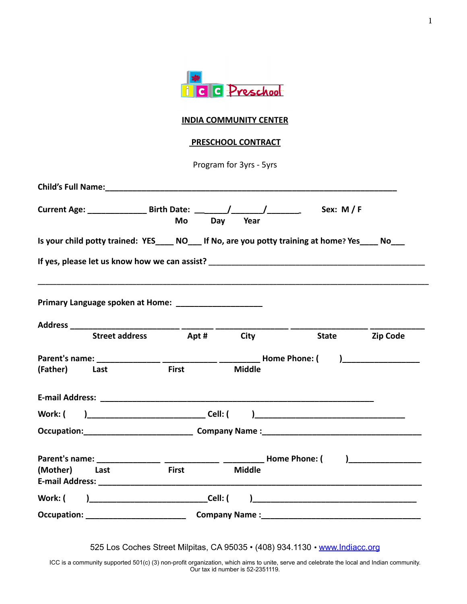

#### **INDIA COMMUNITY CENTER**

#### **PRESCHOOL CONTRACT**

Program for 3yrs - 5yrs

|                                                                                                 | Mo                        | <b>Day</b><br>Year |               | Sex: M/F                 |  |
|-------------------------------------------------------------------------------------------------|---------------------------|--------------------|---------------|--------------------------|--|
| Is your child potty trained: YES ____ NO ___ If No, are you potty training at home? Yes ____ No |                           |                    |               |                          |  |
| If yes, please let us know how we can assist?                                                   |                           |                    |               |                          |  |
| Primary Language spoken at Home: _____________________                                          |                           |                    |               |                          |  |
|                                                                                                 |                           |                    |               |                          |  |
|                                                                                                 | Street address Apt # City |                    |               | State Zip Code           |  |
|                                                                                                 |                           |                    | Home Phone: ( |                          |  |
| (Father)<br>Last                                                                                | <b>First</b>              | <b>Middle</b>      |               |                          |  |
|                                                                                                 |                           |                    |               |                          |  |
|                                                                                                 |                           |                    |               |                          |  |
|                                                                                                 |                           |                    |               |                          |  |
|                                                                                                 |                           |                    |               | $\overline{\phantom{a}}$ |  |
| (Mother)<br>Last                                                                                | <b>First</b>              | <b>Middle</b>      |               |                          |  |
|                                                                                                 |                           |                    |               |                          |  |
| Work: (                                                                                         |                           |                    |               |                          |  |
|                                                                                                 |                           |                    |               |                          |  |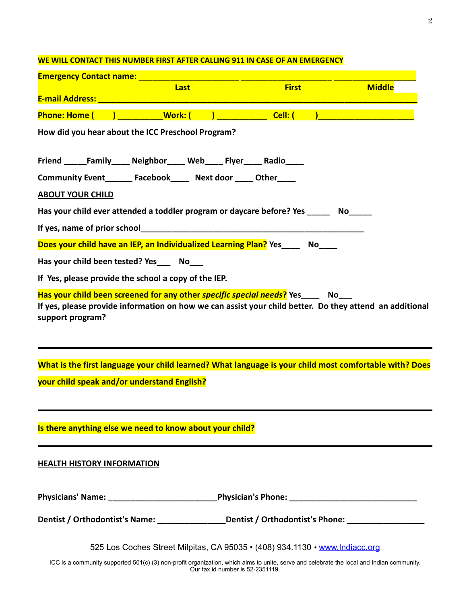|                                                                                                                                                                                                          | Last | <b>First</b>                                                                | <b>Middle</b> |
|----------------------------------------------------------------------------------------------------------------------------------------------------------------------------------------------------------|------|-----------------------------------------------------------------------------|---------------|
|                                                                                                                                                                                                          |      |                                                                             |               |
| Phone: Home ( and a state of the Work: (                                                                                                                                                                 |      | <u>na Cell: (California</u>                                                 |               |
| How did you hear about the ICC Preschool Program?                                                                                                                                                        |      |                                                                             |               |
|                                                                                                                                                                                                          |      |                                                                             |               |
| Friend _______ Family______ Neighbor______ Web_____ Flyer______ Radio_____                                                                                                                               |      |                                                                             |               |
| Community Event Facebook Next door Other                                                                                                                                                                 |      |                                                                             |               |
| <b>ABOUT YOUR CHILD</b>                                                                                                                                                                                  |      |                                                                             |               |
| Has your child ever attended a toddler program or daycare before? Yes _______ No_                                                                                                                        |      |                                                                             |               |
|                                                                                                                                                                                                          |      |                                                                             |               |
| Does your child have an IEP, an Individualized Learning Plan? Yes No                                                                                                                                     |      |                                                                             |               |
| Has your child been tested? Yes _____ No____                                                                                                                                                             |      |                                                                             |               |
| If Yes, please provide the school a copy of the IEP.                                                                                                                                                     |      |                                                                             |               |
| Has your child been screened for any other specific special needs? Yes No<br>If yes, please provide information on how we can assist your child better. Do they attend an additional<br>support program? |      |                                                                             |               |
| What is the first language your child learned? What language is your child most comfortable with? Does                                                                                                   |      |                                                                             |               |
| your child speak and/or understand English?                                                                                                                                                              |      |                                                                             |               |
|                                                                                                                                                                                                          |      |                                                                             |               |
| Is there anything else we need to know about your child?                                                                                                                                                 |      |                                                                             |               |
| <b>HEALTH HISTORY INFORMATION</b>                                                                                                                                                                        |      |                                                                             |               |
|                                                                                                                                                                                                          |      |                                                                             |               |
| Dentist / Orthodontist's Name: _________________Dentist / Orthodontist's Phone: ___________________                                                                                                      |      |                                                                             |               |
|                                                                                                                                                                                                          |      | 525 Los Coches Street Milpitas, CA 95035 • (408) 934.1130 • www.Indiacc.org |               |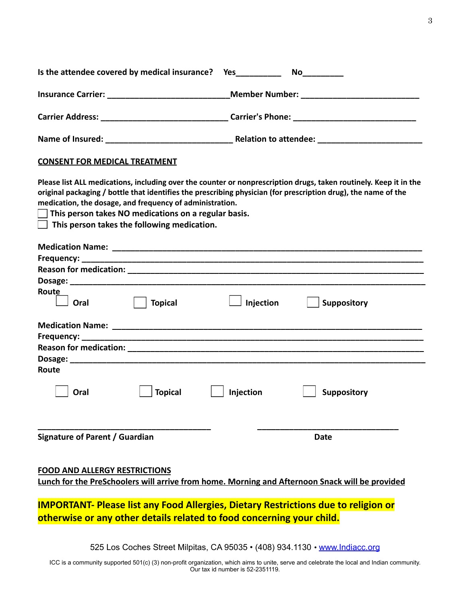| Is the attendee covered by medical insurance?                                                                                                                      | $No \ \$<br>Yes $\qquad \qquad \qquad$                                                                                                                                                                                              |
|--------------------------------------------------------------------------------------------------------------------------------------------------------------------|-------------------------------------------------------------------------------------------------------------------------------------------------------------------------------------------------------------------------------------|
|                                                                                                                                                                    |                                                                                                                                                                                                                                     |
|                                                                                                                                                                    |                                                                                                                                                                                                                                     |
|                                                                                                                                                                    |                                                                                                                                                                                                                                     |
| <b>CONSENT FOR MEDICAL TREATMENT</b>                                                                                                                               |                                                                                                                                                                                                                                     |
| medication, the dosage, and frequency of administration.<br>This person takes NO medications on a regular basis.<br>This person takes the following medication.    | Please list ALL medications, including over the counter or nonprescription drugs, taken routinely. Keep it in the<br>original packaging / bottle that identifies the prescribing physician (for prescription drug), the name of the |
|                                                                                                                                                                    |                                                                                                                                                                                                                                     |
|                                                                                                                                                                    |                                                                                                                                                                                                                                     |
|                                                                                                                                                                    |                                                                                                                                                                                                                                     |
|                                                                                                                                                                    |                                                                                                                                                                                                                                     |
| Route<br><b>Topical</b><br>Oral                                                                                                                                    | Injection<br><b>Suppository</b>                                                                                                                                                                                                     |
|                                                                                                                                                                    |                                                                                                                                                                                                                                     |
|                                                                                                                                                                    |                                                                                                                                                                                                                                     |
|                                                                                                                                                                    |                                                                                                                                                                                                                                     |
|                                                                                                                                                                    |                                                                                                                                                                                                                                     |
| Route                                                                                                                                                              |                                                                                                                                                                                                                                     |
| <b>Topical</b><br>Oral                                                                                                                                             | Injection<br><b>Suppository</b>                                                                                                                                                                                                     |
| Signature of Parent / Guardian                                                                                                                                     | <b>Date</b>                                                                                                                                                                                                                         |
| <b>FOOD AND ALLERGY RESTRICTIONS</b>                                                                                                                               | <b>Lunch for the PreSchoolers will arrive from home. Morning and Afternoon Snack will be provided</b>                                                                                                                               |
| <b>IMPORTANT- Please list any Food Allergies, Dietary Restrictions due to religion or</b><br>otherwise or any other details related to food concerning your child. |                                                                                                                                                                                                                                     |

525 Los Coches Street Milpitas, CA 95035 • (408) 934.1130 • [www.Indiacc.org](http://www.indiacc.org/)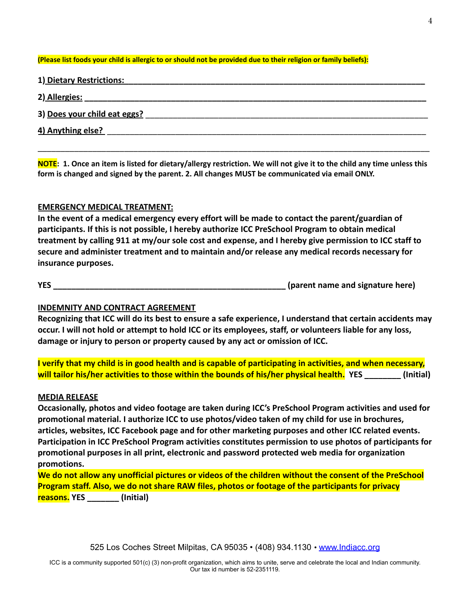#### (Please list foods your child is allergic to or should not be provided due to their religion or family beliefs):

| 1) Dietary Restrictions:     |
|------------------------------|
|                              |
| 3) Does your child eat eggs? |
| 4) Anything else?            |
|                              |

NOTE: 1. Once an item is listed for dietary/allergy restriction. We will not give it to the child any time unless this **form is changed and signed by the parent. 2. All changes MUST be communicated via email ONLY.**

### **EMERGENCY MEDICAL TREATMENT:**

**In the event of a medical emergency every effort will be made to contact the parent/guardian of participants. If this is not possible, I hereby authorize ICC PreSchool Program to obtain medical treatment by calling 911 at my/our sole cost and expense, and I hereby give permission to ICC staff to secure and administer treatment and to maintain and/or release any medical records necessary for insurance purposes.**

**YES \_\_\_\_\_\_\_\_\_\_\_\_\_\_\_\_\_\_\_\_\_\_\_\_\_\_\_\_\_\_\_\_\_\_\_\_\_\_\_\_\_\_\_\_\_\_\_\_\_\_\_ (parent name and signature here)**

### **INDEMNITY AND CONTRACT AGREEMENT**

**Recognizing that ICC will do its best to ensure a safe experience, I understand that certain accidents may occur. I will not hold or attempt to hold ICC or its employees, staff, or volunteers liable for any loss, damage or injury to person or property caused by any act or omission of ICC.**

**I verify that my child is in good health and is capable of participating in activities, and when necessary, will tailor his/her activities to those within the bounds of his/her physical health. YES \_\_\_\_\_\_\_\_ (Initial)**

### **MEDIA RELEASE**

**Occasionally, photos and video footage are taken during ICC's PreSchool Program activities and used for promotional material. I authorize ICC to use photos/video taken of my child for use in brochures, articles, websites, ICC Facebook page and for other marketing purposes and other ICC related events. Participation in ICC PreSchool Program activities constitutes permission to use photos of participants for promotional purposes in all print, electronic and password protected web media for organization promotions.**

**We do not allow any unofficial pictures or videos of the children without the consent of the PreSchool Program staff. Also, we do not share RAW files, photos or footage of the participants for privacy reasons. YES \_\_\_\_\_\_\_ (Initial)**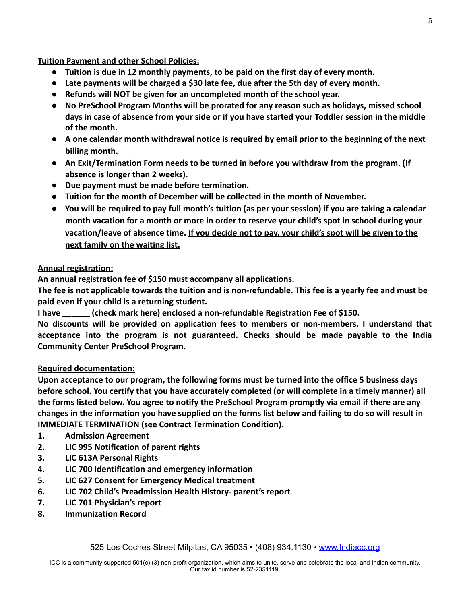**Tuition Payment and other School Policies:**

- **● Tuition is due in 12 monthly payments, to be paid on the first day of every month.**
- **● Late payments will be charged a \$30 late fee, due after the 5th day of every month.**
- **● Refunds will NOT be given for an uncompleted month of the school year.**
- **● No PreSchool Program Months will be prorated for any reason such as holidays, missed school days in case of absence from your side or if you have started your Toddler session in the middle of the month.**
- **● A one calendar month withdrawal notice is required by email prior to the beginning of the next billing month.**
- **● An Exit/Termination Form needs to be turned in before you withdraw from the program. (If absence is longer than 2 weeks).**
- **● Due payment must be made before termination.**
- **● Tuition for the month of December will be collected in the month of November.**
- **● You will be required to pay full month's tuition (as per your session) if you are taking a calendar month vacation for a month or more in order to reserve your child's spot in school during your vacation/leave of absence time. If you decide not to pay, your child's spot will be given to the next family on the waiting list.**

## **Annual registration:**

**An annual registration fee of \$150 must accompany all applications.**

**The fee is not applicable towards the tuition and is non-refundable. This fee is a yearly fee and must be paid even if your child is a returning student.**

**I have \_\_\_\_\_\_ (check mark here) enclosed a non-refundable Registration Fee of \$150.**

**No discounts will be provided on application fees to members or non-members. I understand that acceptance into the program is not guaranteed. Checks should be made payable to the India Community Center PreSchool Program.**

## **Required documentation:**

**Upon acceptance to our program, the following forms must be turned into the office 5 business days before school. You certify that you have accurately completed (or will complete in a timely manner) all the forms listed below. You agree to notify the PreSchool Program promptly via email if there are any changes in the information you have supplied on the forms list below and failing to do so will result in IMMEDIATE TERMINATION (see Contract Termination Condition).**

- **1. Admission Agreement**
- **2. LIC 995 Notification of parent rights**
- **3. LIC 613A Personal Rights**
- **4. LIC 700 Identification and emergency information**
- **5. LIC 627 Consent for Emergency Medical treatment**
- **6. LIC 702 Child's Preadmission Health History- parent's report**
- **7. LIC 701 Physician's report**
- **8. Immunization Record**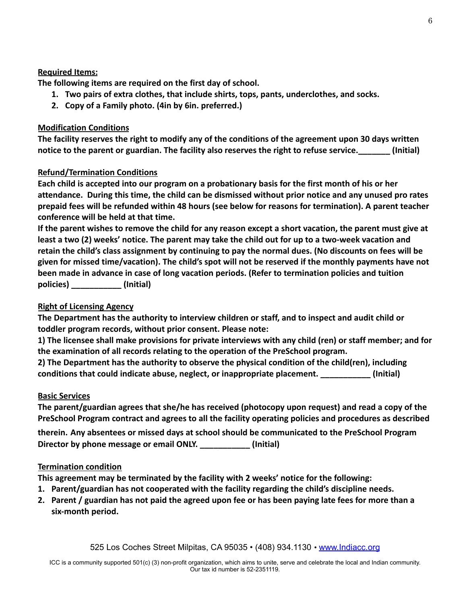### **Required Items:**

**The following items are required on the first day of school.**

- **1. Two pairs of extra clothes, that include shirts, tops, pants, underclothes, and socks.**
- **2. Copy of a Family photo. (4in by 6in. preferred.)**

### **Modification Conditions**

**The facility reserves the right to modify any of the conditions of the agreement upon 30 days written notice to the parent or guardian. The facility also reserves the right to refuse service.\_\_\_\_\_\_\_ (Initial)**

### **Refund/Termination Conditions**

**Each child is accepted into our program on a probationary basis for the first month of his or her attendance. During this time, the child can be dismissed without prior notice and any unused pro rates prepaid fees will be refunded within 48 hours (see below for reasons for termination). A parent teacher conference will be held at that time.**

**If the parent wishes to remove the child for any reason except a short vacation, the parent must give at least a two (2) weeks' notice. The parent may take the child out for up to a two-week vacation and retain the child's class assignment by continuing to pay the normal dues. (No discounts on fees will be given for missed time/vacation). The child's spot will not be reserved if the monthly payments have not been made in advance in case of long vacation periods. (Refer to termination policies and tuition policies) \_\_\_\_\_\_\_\_\_\_\_ (Initial)**

### **Right of Licensing Agency**

**The Department has the authority to interview children or staff, and to inspect and audit child or toddler program records, without prior consent. Please note:**

**1) The licensee shall make provisions for private interviews with any child (ren) or staff member; and for the examination of all records relating to the operation of the PreSchool program.**

**2) The Department has the authority to observe the physical condition of the child(ren), including conditions that could indicate abuse, neglect, or inappropriate placement. \_\_\_\_\_\_\_\_\_\_\_ (Initial)**

### **Basic Services**

**The parent/guardian agrees that she/he has received (photocopy upon request) and read a copy of the PreSchool Program contract and agrees to all the facility operating policies and procedures as described**

**therein. Any absentees or missed days at school should be communicated to the PreSchool Program Director by phone message or email ONLY. \_\_\_\_\_\_\_\_\_\_\_ (Initial)**

### **Termination condition**

**This agreement may be terminated by the facility with 2 weeks' notice for the following:**

- **1. Parent/guardian has not cooperated with the facility regarding the child's discipline needs.**
- **2. Parent / guardian has not paid the agreed upon fee or has been paying late fees for more than a six-month period.**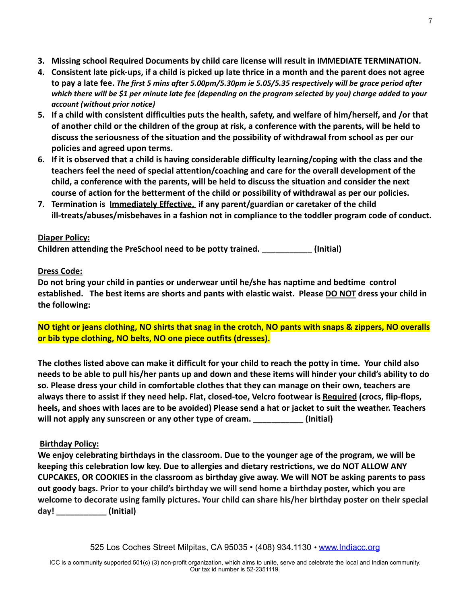- **3. Missing school Required Documents by child care license will result in IMMEDIATE TERMINATION.**
- **4. Consistent late pick-ups, if a child is picked up late thrice in a month and the parent does not agree to pay a late fee.** *The first 5 mins after 5.00pm/5.30pm ie 5.05/5.35 respectively will be grace period after* which there will be \$1 per minute late fee (depending on the program selected by you) charge added to your *account (without prior notice)*
- **5. If a child with consistent difficulties puts the health, safety, and welfare of him/herself, and /or that of another child or the children of the group at risk, a conference with the parents, will be held to discuss the seriousness of the situation and the possibility of withdrawal from school as per our policies and agreed upon terms.**
- **6. If it is observed that a child is having considerable difficulty learning/coping with the class and the teachers feel the need of special attention/coaching and care for the overall development of the child, a conference with the parents, will be held to discuss the situation and consider the next course of action for the betterment of the child or possibility of withdrawal as per our policies.**
- **7. Termination is Immediately Effective, if any parent/guardian or caretaker of the child ill-treats/abuses/misbehaves in a fashion not in compliance to the toddler program code of conduct.**

## **Diaper Policy:**

**Children attending the PreSchool need to be potty trained. \_\_\_\_\_\_\_\_\_\_\_ (Initial)**

## **Dress Code:**

**Do not bring your child in panties or underwear until he/she has naptime and bedtime control established. The best items are shorts and pants with elastic waist. Please DO NOT dress your child in the following:**

**NO tight or jeans clothing, NO shirts that snag in the crotch, NO pants with snaps & zippers, NO overalls or bib type clothing, NO belts, NO one piece outfits (dresses).**

**The clothes listed above can make it difficult for your child to reach the potty in time. Your child also needs to be able to pull his/her pants up and down and these items will hinder your child's ability to do so. Please dress your child in comfortable clothes that they can manage on their own, teachers are always there to assist if they need help. Flat, closed-toe, Velcro footwear is Required (crocs, flip-flops, heels, and shoes with laces are to be avoided) Please send a hat or jacket to suit the weather. Teachers will not apply any sunscreen or any other type of cream. \_\_\_\_\_\_\_\_\_\_\_ (Initial)**

## **Birthday Policy:**

**We enjoy celebrating birthdays in the classroom. Due to the younger age of the program, we will be keeping this celebration low key. Due to allergies and dietary restrictions, we do NOT ALLOW ANY CUPCAKES, OR COOKIES in the classroom as birthday give away. We will NOT be asking parents to pass out goody bags. Prior to your child's birthday we will send home a birthday poster, which you are welcome to decorate using family pictures. Your child can share his/her birthday poster on their special day! \_\_\_\_\_\_\_\_\_\_\_ (Initial)**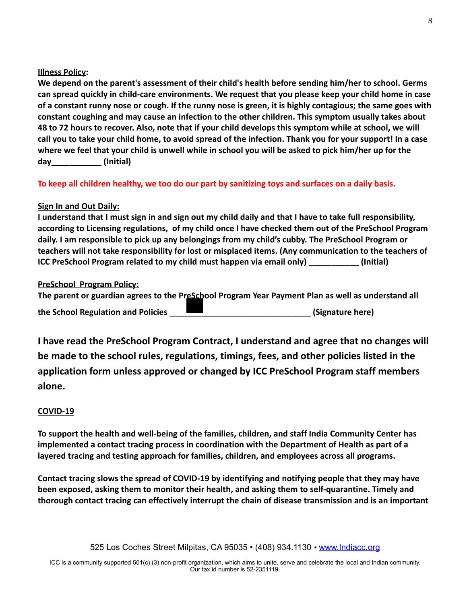## **Illness Policy:**

**We depend on the parent's assessment of their child's health before sending him/her to school. Germs can spread quickly in child-care environments. We request that you please keep your child home in case of a constant runny nose or cough. If the runny nose is green, it is highly contagious; the same goes with constant coughing and may cause an infection to the other children. This symptom usually takes about 48 to 72 hours to recover. Also, note that if your child develops this symptom while at school, we will call you to take your child home, to avoid spread of the infection. Thank you for your support! In a case where we feel that your child is unwell while in school you will be asked to pick him/her up for the day\_\_\_\_\_\_\_\_\_\_\_ (Initial)**

**To keep all children healthy, we too do our part by sanitizing toys and surfaces on a daily basis.**

## **Sign In and Out Daily:**

**I understand that I must sign in and sign out my child daily and that I have to take full responsibility, according to Licensing regulations, of my child once I have checked them out of the PreSchool Program daily. I am responsible to pick up any belongings from my child's cubby. The PreSchool Program or teachers will not take responsibility for lost or misplaced items. (Any communication to the teachers of ICC PreSchool Program related to my child must happen via email only) \_\_\_\_\_\_\_\_\_\_\_ (Initial)**

### **PreSchool Program Policy:**

**The parent or guardian agrees to the PreSchool Program Year Payment Plan as well as understand all**

**the School Regulation and Policies \_\_\_\_\_\_\_\_\_\_\_\_\_\_\_\_\_\_\_\_\_\_\_\_\_\_\_\_\_\_\_ (Signature here)**

**I have read the PreSchool Program Contract, I understand and agree that no changes will be made to the school rules, regulations, timings, fees, and other policies listed in the application form unless approved or changed by ICC PreSchool Program staff members alone.**

## **COVID-19**

**To support the health and well-being of the families, children, and staff India Community Center has implemented a contact tracing process in coordination with the Department of Health as part of a layered tracing and testing approach for families, children, and employees across all programs.**

**Contact tracing slows the spread of COVID-19 by identifying and notifying people that they may have been exposed, asking them to monitor their health, and asking them to self-quarantine. Timely and thorough contact tracing can effectively interrupt the chain of disease transmission and is an important**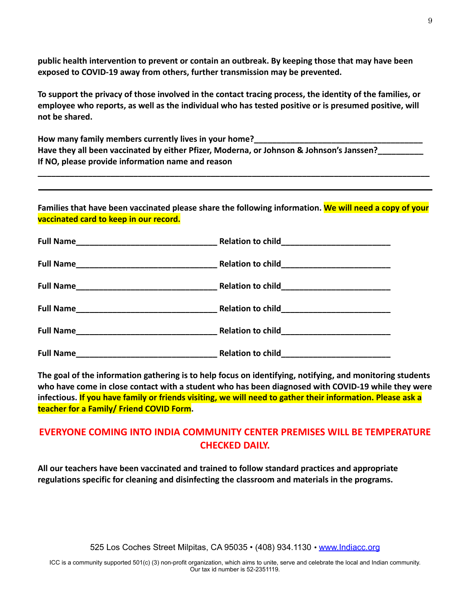**public health intervention to prevent or contain an outbreak. By keeping those that may have been exposed to COVID-19 away from others, further transmission may be prevented.**

**To support the privacy of those involved in the contact tracing process, the identity of the families, or employee who reports, as well as the individual who has tested positive or is presumed positive, will not be shared.**

How many family members currently lives in your home? Have they all been vaccinated by either Pfizer, Moderna, or Johnson & Johnson's Janssen? **If NO, please provide information name and reason**

**Families that have been vaccinated please share the following information. We will need a copy of your vaccinated card to keep in our record.**

**\_\_\_\_\_\_\_\_\_\_\_\_\_\_\_\_\_\_\_\_\_\_\_\_\_\_\_\_\_\_\_\_\_\_\_\_\_\_\_\_\_\_\_\_\_\_\_\_\_\_\_\_\_\_\_\_\_\_\_\_\_\_\_\_\_\_\_\_\_\_\_\_\_\_\_\_\_\_\_\_\_\_\_\_\_\_**

| <b>Full Name</b> | <b>Relation to child</b> |  |
|------------------|--------------------------|--|

**The goal of the information gathering is to help focus on identifying, notifying, and monitoring students who have come in close contact with a student who has been diagnosed with COVID-19 while they were infectious. If you have family or friends visiting, we will need to gather their information. Please ask a teacher for a Family/ Friend COVID Form.**

# **EVERYONE COMING INTO INDIA COMMUNITY CENTER PREMISES WILL BE TEMPERATURE CHECKED DAILY.**

**All our teachers have been vaccinated and trained to follow standard practices and appropriate regulations specific for cleaning and disinfecting the classroom and materials in the programs.**

525 Los Coches Street Milpitas, CA 95035 • (408) 934.1130 • [www.Indiacc.org](http://www.indiacc.org/)